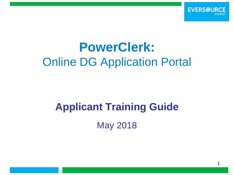

# **PowerClerk:** Online DG Application Portal

# **Applicant Training Guide**

May 2018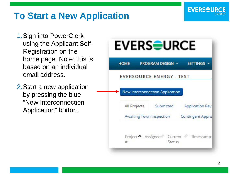#### **To Start a New Application**

- 1.Sign into PowerClerk using the Applicant Self-Registration on the home page. Note: this is based on an individual email address.
- 2.Start a new application by pressing the blue "New Interconnection Application" button.



**EVERSEURCE**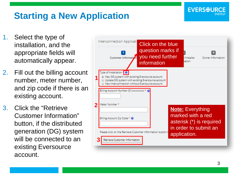#### 3

#### **Starting a New Application**

- 1. Select the type of installation, and the appropriate fields will automatically appear.
- 2. Fill out the billing account number, meter number, and zip code if there is an existing account.
- 3. Click the "Retrieve Customer Information" button, if the distributed generation (DG) system will be connected to an existing Eversource account.



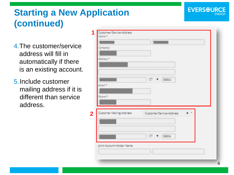### **Starting a New Application (continued)**

- 4.The customer/service address will fill in automatically if there is an existing account.
- 5.Include customer mailing address if it is different than service address.

| Company.                        |                               |
|---------------------------------|-------------------------------|
| Address <sup>*</sup>            |                               |
|                                 |                               |
|                                 |                               |
|                                 | CT<br>06804<br>Ŧ.             |
| Email *                         |                               |
|                                 |                               |
| Phone *                         |                               |
|                                 |                               |
|                                 |                               |
| <b>Customer Mailing Address</b> | Customer/Service Address<br>- |
|                                 |                               |
|                                 |                               |
|                                 | Œ<br>06804<br>₩               |
|                                 |                               |
|                                 |                               |
| Joint Account Holder Name       |                               |

**EVERSEU**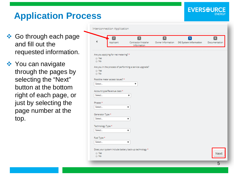#### **EVERSEURCE**

# **Application Process**

- **❖ Go through each page** and fill out the requested information.
- ❖ You can navigate through the pages by selecting the "Next" button at the bottom right of each page, or just by selecting the page number at the top.

|                                                                |                                      | $\boxed{3}$                                             | $\overline{4}$    | 5                     | 6             |
|----------------------------------------------------------------|--------------------------------------|---------------------------------------------------------|-------------------|-----------------------|---------------|
|                                                                | Applicant                            | Contractor/Installer<br>Information                     | Owner Information | DG System Information | Documentation |
|                                                                | Are you applying for net metering? * |                                                         |                   |                       |               |
| @ Yes<br>$\odot$ No                                            |                                      |                                                         |                   |                       |               |
|                                                                |                                      | Are you in the process of performing a service upgrade? |                   |                       |               |
| @ Yes                                                          |                                      |                                                         |                   |                       |               |
| $\odot$ No                                                     |                                      |                                                         |                   |                       |               |
|                                                                | Possible meter access issues? *      |                                                         |                   |                       |               |
| Select                                                         |                                      | ▼                                                       |                   |                       |               |
|                                                                |                                      |                                                         |                   |                       |               |
|                                                                | Account type/Revenue class *         |                                                         |                   |                       |               |
| Select                                                         |                                      | ▼                                                       |                   |                       |               |
|                                                                |                                      |                                                         |                   |                       |               |
|                                                                |                                      |                                                         |                   |                       |               |
| Select                                                         |                                      | ▼                                                       |                   |                       |               |
|                                                                |                                      |                                                         |                   |                       |               |
| Phases *                                                       |                                      |                                                         |                   |                       |               |
| Select                                                         |                                      | ▼                                                       |                   |                       |               |
|                                                                |                                      |                                                         |                   |                       |               |
| Select                                                         |                                      | ▼                                                       |                   |                       |               |
|                                                                |                                      |                                                         |                   |                       |               |
|                                                                |                                      |                                                         |                   |                       |               |
| Generator Type *<br>Technology Type *<br>Fuel Type *<br>Select |                                      | ▼                                                       |                   |                       |               |
|                                                                |                                      | Does your system include battery back-up technology *   |                   |                       |               |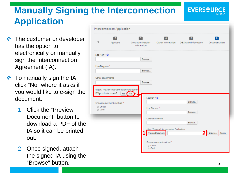# **Manually Signing the Interconnection Application**

- $\triangle$  The customer or developer has the option to electronically or manually sign the Interconnection Agreement (IA).
- $\div$  To manually sign the IA, click "No" where it asks if you would like to e-sign the document.
	- 1. Click the "Preview Document" button to download a PDF of the IA so it can be printed out.
	- 2. Once signed, attach the signed IA using the "Browse" button. 6

|                           | nterconnection Application                                           |                           |                                                                 |                  |                     |
|---------------------------|----------------------------------------------------------------------|---------------------------|-----------------------------------------------------------------|------------------|---------------------|
|                           | 2<br>Applicant                                                       | $\sqrt{3}$<br>Information | $\overline{4}$                                                  | $\sqrt{5}$       | 6.<br>Documentation |
| Site Plan * @             |                                                                      | Browse                    |                                                                 |                  |                     |
| Line Diagram <sup>*</sup> |                                                                      | Browse                    |                                                                 |                  |                     |
| Other attachments         |                                                                      | Browse                    |                                                                 |                  |                     |
|                           | eSign / Preview Interconnection Application<br>E-Sign this document? | Yes No<br>Site Plan * @   |                                                                 |                  |                     |
| Check<br>Card             | Choose a payment method *                                            | Line Diagram*             |                                                                 | Browse<br>Browse |                     |
|                           |                                                                      |                           | Other attachments                                               | Browse           |                     |
|                           |                                                                      |                           | eSign / Preview Interconnection Application<br>Preview Document |                  | Browse<br>Cancel    |
|                           |                                                                      | Check<br>Card             | Choose a payment method *                                       |                  |                     |

**EVERSEUR**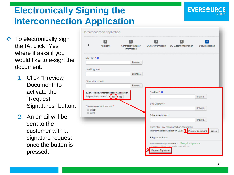# **Electronically Signing the Interconnection Application**

- $\cdot \cdot$  To electronically sign the IA, click "Yes" where it asks if you would like to e -sign the document.
	- 1. Click "Preview Document" to activate the "Request Signatures" button.
	- 2. An email will be sent to the customer with a signature request once the button is pressed.

|                           | Interconnection Application                                              |                                                                |                                 |                                                                                                          |                    |
|---------------------------|--------------------------------------------------------------------------|----------------------------------------------------------------|---------------------------------|----------------------------------------------------------------------------------------------------------|--------------------|
|                           | Applicant                                                                | $\overline{\mathbf{3}}$<br>Contractor/Installer<br>Information | $\sqrt{4}$<br>Owner Information | 5<br>DG System Information                                                                               | 6<br>Documentation |
| Site Plan * @             |                                                                          |                                                                |                                 |                                                                                                          |                    |
|                           |                                                                          | Browse                                                         |                                 |                                                                                                          |                    |
| Line Diagram <sup>*</sup> |                                                                          |                                                                |                                 |                                                                                                          |                    |
|                           |                                                                          | Browse                                                         |                                 |                                                                                                          |                    |
| Other attachments         |                                                                          |                                                                |                                 |                                                                                                          |                    |
|                           |                                                                          | Browse                                                         |                                 |                                                                                                          |                    |
|                           | eSign / Preview Interconnection Application<br>E-Sign this document? Yes | No                                                             | Site Plan * @                   |                                                                                                          | Browse             |
|                           | Choose a payment method *                                                |                                                                | Line Diagram <sup>*</sup>       |                                                                                                          | Browse             |
| Check<br>Card             |                                                                          |                                                                | Other attachments               |                                                                                                          |                    |
|                           |                                                                          |                                                                |                                 |                                                                                                          | Browse             |
|                           |                                                                          |                                                                |                                 | eSign / Preview Interconnection Application<br>Interconnection Application LEVEL 1 Preview Document      | Cancel             |
|                           |                                                                          |                                                                | E-Signature Status              |                                                                                                          |                    |
|                           |                                                                          |                                                                | <b>Request Signatures</b>       | Interconnection Application LEVEL 1 Ready for signature<br>Customer : Please enter a valid email address |                    |

**EVERSEUR**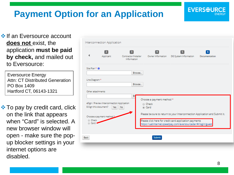# **Payment Option for an Application**

**If an Eversource account does not** exist, the application **must be paid by check,** and mailed out to Eversource:

Eversource Energy Attn: CT Distributed Generation PO Box 1409 Hartford CT, 06143-1321

**External The pay by credit card, click** on the link that appears when "Card" is selected. A new browser window will open - make sure the popup blocker settings in your internet options are disabled.

| Interconnection Application                                          |                           |                                                   |                                              |                                                                                                                        |                                                                             |
|----------------------------------------------------------------------|---------------------------|---------------------------------------------------|----------------------------------------------|------------------------------------------------------------------------------------------------------------------------|-----------------------------------------------------------------------------|
|                                                                      | $\mathbf{z}$<br>Applicant | $\sqrt{3}$<br>Contractor/Installer<br>Information | $\vert$ 4<br>Owner Information               | $\sqrt{5}$<br>DG System Information                                                                                    | $6^{\circ}$<br>Documentation                                                |
| Site Plan * @                                                        |                           | Browse                                            |                                              |                                                                                                                        |                                                                             |
| Line Diagram*                                                        |                           | Browse                                            |                                              |                                                                                                                        |                                                                             |
| Other attachments                                                    |                           | Br                                                |                                              |                                                                                                                        |                                                                             |
| eSign / Preview Interconnection Application<br>E-Sign this document? | Yes No                    |                                                   | Choose a payment method *<br>Check<br>@ Card |                                                                                                                        |                                                                             |
| Choose a payment method *<br>Check<br>O Card                         |                           |                                                   |                                              | Please click here for credit card application payments<br>https://uatinternet.speedpay.com/eversourceder/#/login/guest | Please be sure to return to your Interconnection Application and Submit it. |
| Back                                                                 |                           |                                                   | <b>Submit</b>                                |                                                                                                                        |                                                                             |

**EVERSEUR**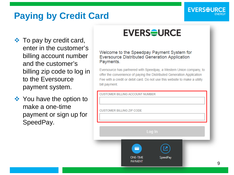## **Paying by Credit Card**

❖ To pay by credit card, enter in the customer's billing account number and the customer's billing zip code to log in to the Eversource payment system.

❖ You have the option to make a one -time payment or sign up for SpeedPay .

# **EVERS<del>O</del>URCE**

Welcome to the Speedpay Payment System for **Eversource Distributed Generation Application** Payments.

Eversource has partnered with Speedpay, a Western Union company, to offer the convenience of paying the Distributed Generation Application Fee with a credit or debit card. Do not use this website to make a utility bill payment.

**CUSTOMER BILLING ACCOUNT NUMBER** 

**CUSTOMER BILLING ZIP CODE** 

Log In



**ONE-TIME PAYMENT** 

▬

SpeedPav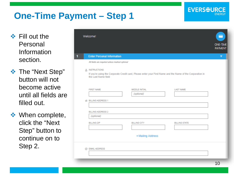## **One-Time Payment – Step 1**

 $\div$  Fill out the Personal Information section.

**❖** The "Next Step" button will not become active until all fields are filled out.

**❖** When complete, click the "Next Step" button to continue on to Step 2.

|   | Welcome!                                                     |                                                                                                            |                      | ▬<br><b>ONE-TIME</b><br><b>PAYMENT</b> |
|---|--------------------------------------------------------------|------------------------------------------------------------------------------------------------------------|----------------------|----------------------------------------|
| 1 | <b>Enter Personal Information</b>                            |                                                                                                            |                      | ▼                                      |
|   | All fields are required unless marked optional               |                                                                                                            |                      |                                        |
|   | <b>&amp; INSTRUCTIONS</b><br>the Last Name field             | If you're using the Corporate Credit card, Please enter your First Name and the Name of the Corporation in |                      |                                        |
|   | <b>FIRST NAME</b>                                            | MIDDLE INITIAL<br>(optional)                                                                               | <b>LAST NAME</b>     |                                        |
|   | <b>俗 BILLING ADDRESS 1</b>                                   |                                                                                                            |                      |                                        |
|   | <b>BILLING ADDRESS 2</b><br>(optional)<br><b>BILLING ZIP</b> | <b>BILLING CITY</b>                                                                                        | <b>BILLING STATE</b> |                                        |
|   |                                                              |                                                                                                            |                      |                                        |
|   |                                                              | + Mailing Address                                                                                          |                      |                                        |
|   | @ EMAIL ADDRESS                                              |                                                                                                            |                      |                                        |

**EVERSEURCE**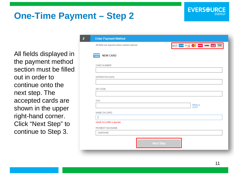#### **One-Time Payment – Step 2**

All fields displayed in the payment method section must be filled out in order to continue onto the next step. The accepted cards are shown in the upper right-hand corner. Click "Next Step" to continue to Step 3.

| All fields are required unless marked optional |                                               | accel cases mother code where ender STAR VISA |                |  |  |  |
|------------------------------------------------|-----------------------------------------------|-----------------------------------------------|----------------|--|--|--|
|                                                |                                               |                                               |                |  |  |  |
|                                                |                                               |                                               |                |  |  |  |
|                                                |                                               |                                               |                |  |  |  |
|                                                |                                               |                                               |                |  |  |  |
|                                                |                                               |                                               |                |  |  |  |
|                                                |                                               |                                               |                |  |  |  |
|                                                |                                               |                                               |                |  |  |  |
|                                                |                                               |                                               |                |  |  |  |
|                                                |                                               |                                               |                |  |  |  |
|                                                |                                               |                                               | What is<br>CW? |  |  |  |
|                                                |                                               |                                               |                |  |  |  |
|                                                |                                               |                                               |                |  |  |  |
|                                                |                                               |                                               |                |  |  |  |
|                                                |                                               |                                               |                |  |  |  |
|                                                |                                               |                                               |                |  |  |  |
|                                                | NAME ON CARD is required.<br>PAYMENT NICKNAME |                                               |                |  |  |  |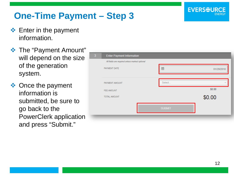#### **One-Time Payment – Step 3**

- ❖ Enter in the payment information.
- The "Payment Amount" will depend on the size of the generation system.
- ❖ Once the payment information is submitted, be sure to go back to the PowerClerk application and press "Submit."

| $\overline{\mathbf{3}}$ | <b>Enter Payment Information</b>               |                 |
|-------------------------|------------------------------------------------|-----------------|
|                         | All fields are required unless marked optional |                 |
|                         | PAYMENT DATE                                   | 崮<br>01/29/2018 |
|                         |                                                |                 |
|                         | PAYMENT AMOUNT                                 | Select          |
|                         | FEE AMOUNT                                     | \$0.00          |
|                         | TOTAL AMOUNT                                   | \$0.00          |
|                         |                                                | <b>SUBMIT</b>   |
|                         |                                                |                 |

**EVERSOUR**